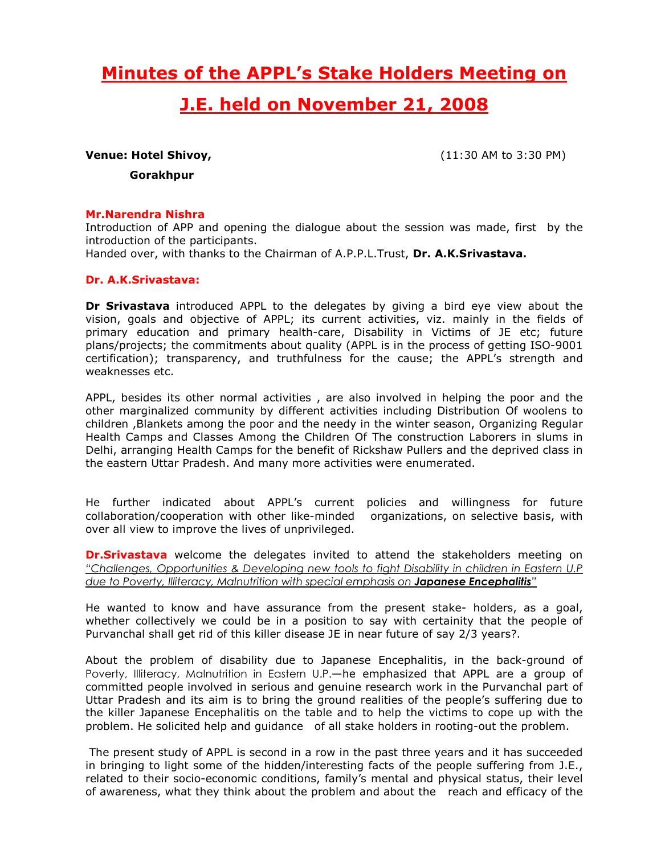# Minutes of the APPL's Stake Holders Meeting on

# J.E. held on November 21, 2008

**Venue: Hotel Shivoy, Sand America Control** (11:30 AM to 3:30 PM)

Gorakhpur

#### Mr.Narendra Nishra

Introduction of APP and opening the dialogue about the session was made, first by the introduction of the participants.

Handed over, with thanks to the Chairman of A.P.P.L.Trust, Dr. A.K.Srivastava.

#### Dr. A.K.Srivastava:

**Dr Srivastava** introduced APPL to the delegates by giving a bird eye view about the vision, goals and objective of APPL; its current activities, viz. mainly in the fields of primary education and primary health-care, Disability in Victims of JE etc; future plans/projects; the commitments about quality (APPL is in the process of getting ISO-9001 certification); transparency, and truthfulness for the cause; the APPL's strength and weaknesses etc.

APPL, besides its other normal activities , are also involved in helping the poor and the other marginalized community by different activities including Distribution Of woolens to children ,Blankets among the poor and the needy in the winter season, Organizing Regular Health Camps and Classes Among the Children Of The construction Laborers in slums in Delhi, arranging Health Camps for the benefit of Rickshaw Pullers and the deprived class in the eastern Uttar Pradesh. And many more activities were enumerated.

He further indicated about APPL's current policies and willingness for future collaboration/cooperation with other like-minded organizations, on selective basis, with over all view to improve the lives of unprivileged.

**Dr.Srivastava** welcome the delegates invited to attend the stakeholders meeting on "Challenges, Opportunities & Developing new tools to fight Disability in children in Eastern U.P due to Poverty, Illiteracy, Malnutrition with special emphasis on **Japanese Encephalitis**"

He wanted to know and have assurance from the present stake- holders, as a goal, whether collectively we could be in a position to say with certainity that the people of Purvanchal shall get rid of this killer disease JE in near future of say 2/3 years?.

About the problem of disability due to Japanese Encephalitis, in the back-ground of Poverty, Illiteracy, Malnutrition in Eastern U.P.—he emphasized that APPL are a group of committed people involved in serious and genuine research work in the Purvanchal part of Uttar Pradesh and its aim is to bring the ground realities of the people's suffering due to the killer Japanese Encephalitis on the table and to help the victims to cope up with the problem. He solicited help and guidance of all stake holders in rooting-out the problem.

 The present study of APPL is second in a row in the past three years and it has succeeded in bringing to light some of the hidden/interesting facts of the people suffering from J.E., related to their socio-economic conditions, family's mental and physical status, their level of awareness, what they think about the problem and about the reach and efficacy of the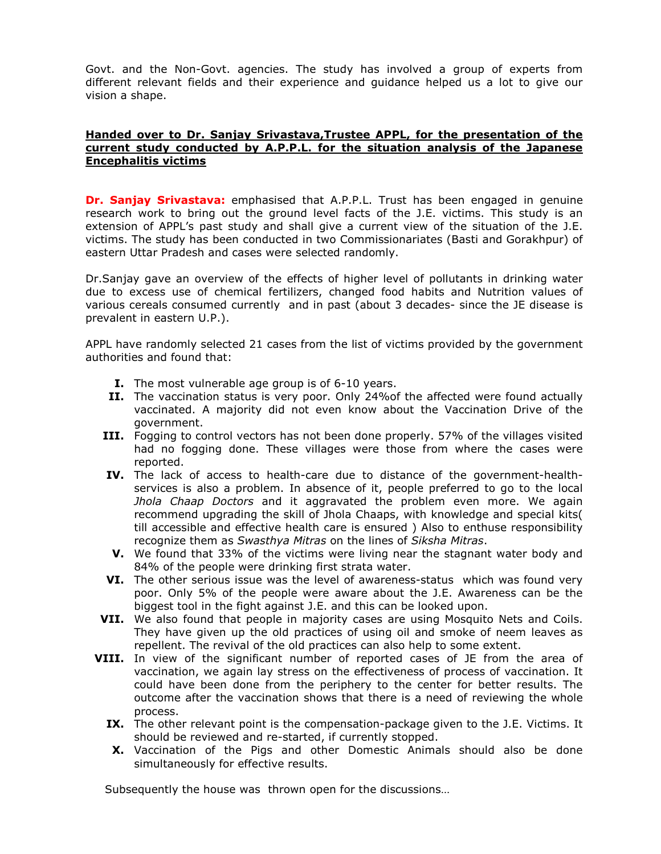Govt. and the Non-Govt. agencies. The study has involved a group of experts from different relevant fields and their experience and guidance helped us a lot to give our vision a shape.

#### Handed over to Dr. Sanjay Srivastava,Trustee APPL, for the presentation of the current study conducted by A.P.P.L. for the situation analysis of the Japanese Encephalitis victims

**Dr. Sanjay Srivastava:** emphasised that A.P.P.L. Trust has been engaged in genuine research work to bring out the ground level facts of the J.E. victims. This study is an extension of APPL's past study and shall give a current view of the situation of the J.E. victims. The study has been conducted in two Commissionariates (Basti and Gorakhpur) of eastern Uttar Pradesh and cases were selected randomly.

Dr.Sanjay gave an overview of the effects of higher level of pollutants in drinking water due to excess use of chemical fertilizers, changed food habits and Nutrition values of various cereals consumed currently and in past (about 3 decades- since the JE disease is prevalent in eastern U.P.).

APPL have randomly selected 21 cases from the list of victims provided by the government authorities and found that:

- **I.** The most vulnerable age group is of 6-10 years.
- II. The vaccination status is very poor. Only 24%of the affected were found actually vaccinated. A majority did not even know about the Vaccination Drive of the government.
- III. Fogging to control vectors has not been done properly. 57% of the villages visited had no fogging done. These villages were those from where the cases were reported.
- IV. The lack of access to health-care due to distance of the government-healthservices is also a problem. In absence of it, people preferred to go to the local Jhola Chaap Doctors and it aggravated the problem even more. We again recommend upgrading the skill of Jhola Chaaps, with knowledge and special kits( till accessible and effective health care is ensured ) Also to enthuse responsibility recognize them as Swasthya Mitras on the lines of Siksha Mitras.
- V. We found that 33% of the victims were living near the stagnant water body and 84% of the people were drinking first strata water.
- VI. The other serious issue was the level of awareness-status which was found very poor. Only 5% of the people were aware about the J.E. Awareness can be the biggest tool in the fight against J.E. and this can be looked upon.
- VII. We also found that people in majority cases are using Mosquito Nets and Coils. They have given up the old practices of using oil and smoke of neem leaves as repellent. The revival of the old practices can also help to some extent.
- VIII. In view of the significant number of reported cases of JE from the area of vaccination, we again lay stress on the effectiveness of process of vaccination. It could have been done from the periphery to the center for better results. The outcome after the vaccination shows that there is a need of reviewing the whole process.
	- IX. The other relevant point is the compensation-package given to the J.E. Victims. It should be reviewed and re-started, if currently stopped.
	- X. Vaccination of the Pigs and other Domestic Animals should also be done simultaneously for effective results.

Subsequently the house was thrown open for the discussions…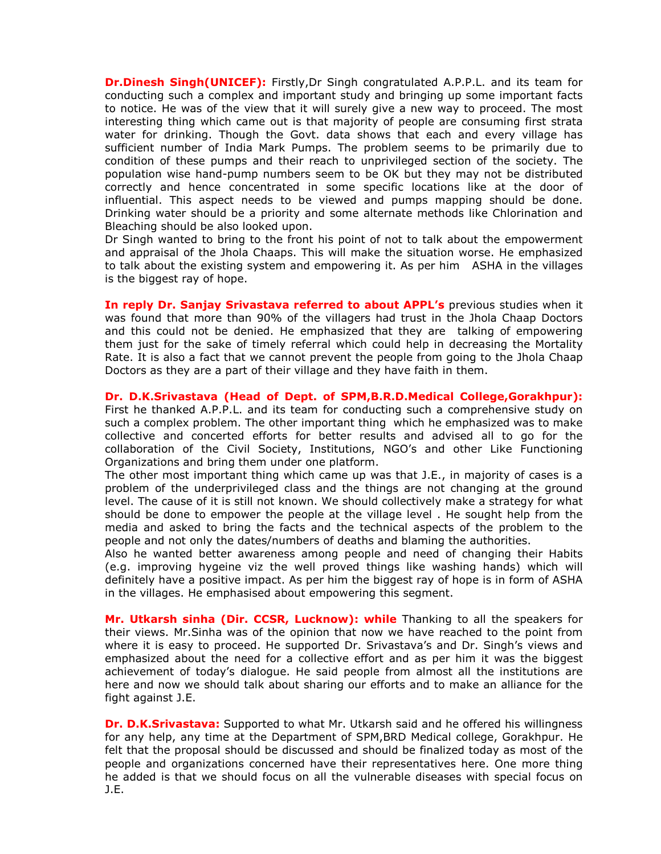**Dr.Dinesh Singh(UNICEF):** Firstly, Dr Singh congratulated A.P.P.L. and its team for conducting such a complex and important study and bringing up some important facts to notice. He was of the view that it will surely give a new way to proceed. The most interesting thing which came out is that majority of people are consuming first strata water for drinking. Though the Govt. data shows that each and every village has sufficient number of India Mark Pumps. The problem seems to be primarily due to condition of these pumps and their reach to unprivileged section of the society. The population wise hand-pump numbers seem to be OK but they may not be distributed correctly and hence concentrated in some specific locations like at the door of influential. This aspect needs to be viewed and pumps mapping should be done. Drinking water should be a priority and some alternate methods like Chlorination and Bleaching should be also looked upon.

Dr Singh wanted to bring to the front his point of not to talk about the empowerment and appraisal of the Jhola Chaaps. This will make the situation worse. He emphasized to talk about the existing system and empowering it. As per him ASHA in the villages is the biggest ray of hope.

In reply Dr. Sanjay Srivastava referred to about APPL's previous studies when it was found that more than 90% of the villagers had trust in the Jhola Chaap Doctors and this could not be denied. He emphasized that they are talking of empowering them just for the sake of timely referral which could help in decreasing the Mortality Rate. It is also a fact that we cannot prevent the people from going to the Jhola Chaap Doctors as they are a part of their village and they have faith in them.

Dr. D.K.Srivastava (Head of Dept. of SPM,B.R.D.Medical College,Gorakhpur): First he thanked A.P.P.L. and its team for conducting such a comprehensive study on such a complex problem. The other important thing which he emphasized was to make collective and concerted efforts for better results and advised all to go for the collaboration of the Civil Society, Institutions, NGO's and other Like Functioning Organizations and bring them under one platform.

The other most important thing which came up was that J.E., in majority of cases is a problem of the underprivileged class and the things are not changing at the ground level. The cause of it is still not known. We should collectively make a strategy for what should be done to empower the people at the village level . He sought help from the media and asked to bring the facts and the technical aspects of the problem to the people and not only the dates/numbers of deaths and blaming the authorities.

Also he wanted better awareness among people and need of changing their Habits (e.g. improving hygeine viz the well proved things like washing hands) which will definitely have a positive impact. As per him the biggest ray of hope is in form of ASHA in the villages. He emphasised about empowering this segment.

Mr. Utkarsh sinha (Dir. CCSR, Lucknow): while Thanking to all the speakers for their views. Mr.Sinha was of the opinion that now we have reached to the point from where it is easy to proceed. He supported Dr. Srivastava's and Dr. Singh's views and emphasized about the need for a collective effort and as per him it was the biggest achievement of today's dialogue. He said people from almost all the institutions are here and now we should talk about sharing our efforts and to make an alliance for the fight against J.E.

Dr. D.K.Srivastava: Supported to what Mr. Utkarsh said and he offered his willingness for any help, any time at the Department of SPM,BRD Medical college, Gorakhpur. He felt that the proposal should be discussed and should be finalized today as most of the people and organizations concerned have their representatives here. One more thing he added is that we should focus on all the vulnerable diseases with special focus on J.E.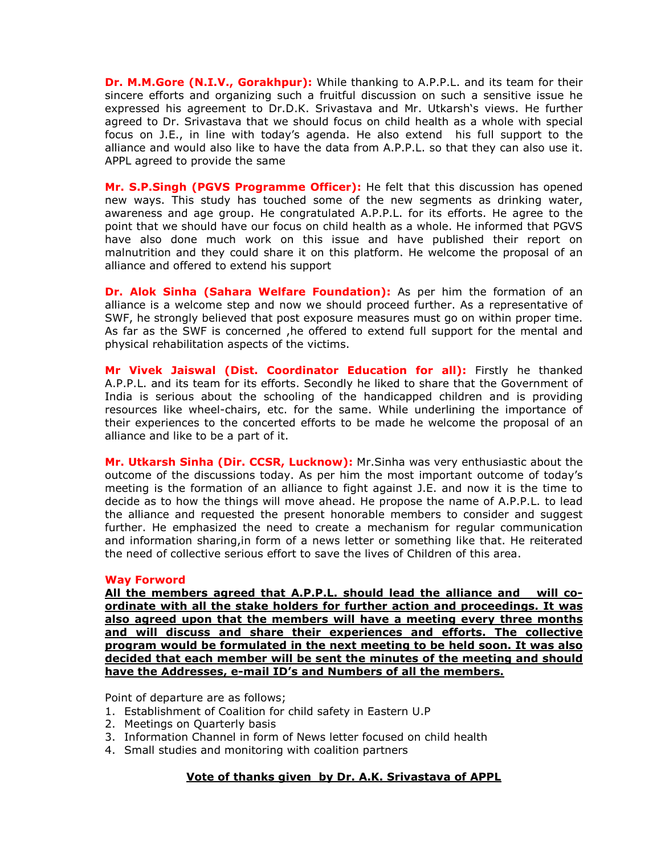Dr. M.M.Gore (N.I.V., Gorakhpur): While thanking to A.P.P.L. and its team for their sincere efforts and organizing such a fruitful discussion on such a sensitive issue he expressed his agreement to Dr.D.K. Srivastava and Mr. Utkarsh's views. He further agreed to Dr. Srivastava that we should focus on child health as a whole with special focus on J.E., in line with today's agenda. He also extend his full support to the alliance and would also like to have the data from A.P.P.L. so that they can also use it. APPL agreed to provide the same

Mr. S.P.Singh (PGVS Programme Officer): He felt that this discussion has opened new ways. This study has touched some of the new segments as drinking water, awareness and age group. He congratulated A.P.P.L. for its efforts. He agree to the point that we should have our focus on child health as a whole. He informed that PGVS have also done much work on this issue and have published their report on malnutrition and they could share it on this platform. He welcome the proposal of an alliance and offered to extend his support

Dr. Alok Sinha (Sahara Welfare Foundation): As per him the formation of an alliance is a welcome step and now we should proceed further. As a representative of SWF, he strongly believed that post exposure measures must go on within proper time. As far as the SWF is concerned ,he offered to extend full support for the mental and physical rehabilitation aspects of the victims.

Mr Vivek Jaiswal (Dist. Coordinator Education for all): Firstly he thanked A.P.P.L. and its team for its efforts. Secondly he liked to share that the Government of India is serious about the schooling of the handicapped children and is providing resources like wheel-chairs, etc. for the same. While underlining the importance of their experiences to the concerted efforts to be made he welcome the proposal of an alliance and like to be a part of it.

Mr. Utkarsh Sinha (Dir. CCSR, Lucknow): Mr. Sinha was very enthusiastic about the outcome of the discussions today. As per him the most important outcome of today's meeting is the formation of an alliance to fight against J.E. and now it is the time to decide as to how the things will move ahead. He propose the name of A.P.P.L. to lead the alliance and requested the present honorable members to consider and suggest further. He emphasized the need to create a mechanism for regular communication and information sharing,in form of a news letter or something like that. He reiterated the need of collective serious effort to save the lives of Children of this area.

#### Way Forword

All the members agreed that A.P.P.L. should lead the alliance and will coordinate with all the stake holders for further action and proceedings. It was also agreed upon that the members will have a meeting every three months and will discuss and share their experiences and efforts. The collective program would be formulated in the next meeting to be held soon. It was also decided that each member will be sent the minutes of the meeting and should have the Addresses, e-mail ID's and Numbers of all the members.

Point of departure are as follows;

- 1. Establishment of Coalition for child safety in Eastern U.P
- 2. Meetings on Quarterly basis
- 3. Information Channel in form of News letter focused on child health
- 4. Small studies and monitoring with coalition partners

#### Vote of thanks given by Dr. A.K. Srivastava of APPL